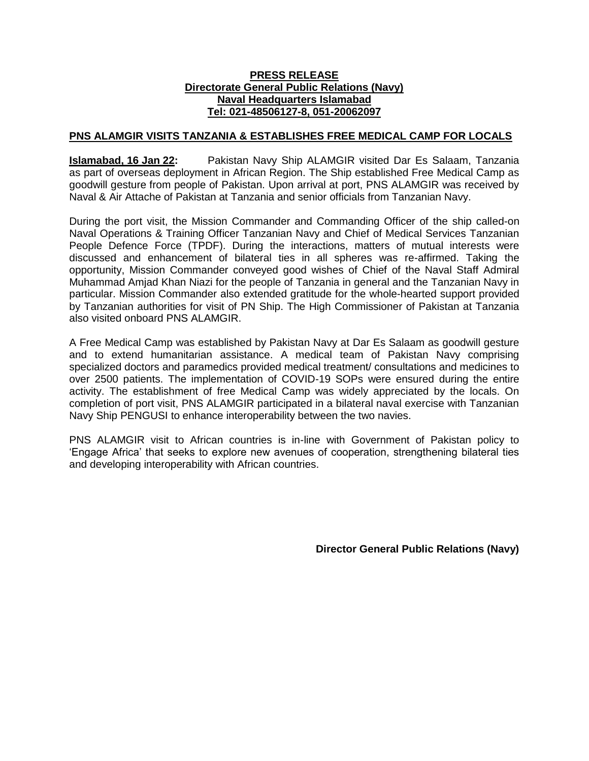## **PRESS RELEASE Directorate General Public Relations (Navy) Naval Headquarters Islamabad Tel: 021-48506127-8, 051-20062097**

## **PNS ALAMGIR VISITS TANZANIA & ESTABLISHES FREE MEDICAL CAMP FOR LOCALS**

**Islamabad, 16 Jan 22:** Pakistan Navy Ship ALAMGIR visited Dar Es Salaam, Tanzania as part of overseas deployment in African Region. The Ship established Free Medical Camp as goodwill gesture from people of Pakistan. Upon arrival at port, PNS ALAMGIR was received by Naval & Air Attache of Pakistan at Tanzania and senior officials from Tanzanian Navy.

During the port visit, the Mission Commander and Commanding Officer of the ship called-on Naval Operations & Training Officer Tanzanian Navy and Chief of Medical Services Tanzanian People Defence Force (TPDF). During the interactions, matters of mutual interests were discussed and enhancement of bilateral ties in all spheres was re-affirmed. Taking the opportunity, Mission Commander conveyed good wishes of Chief of the Naval Staff Admiral Muhammad Amjad Khan Niazi for the people of Tanzania in general and the Tanzanian Navy in particular. Mission Commander also extended gratitude for the whole-hearted support provided by Tanzanian authorities for visit of PN Ship. The High Commissioner of Pakistan at Tanzania also visited onboard PNS ALAMGIR.

A Free Medical Camp was established by Pakistan Navy at Dar Es Salaam as goodwill gesture and to extend humanitarian assistance. A medical team of Pakistan Navy comprising specialized doctors and paramedics provided medical treatment/ consultations and medicines to over 2500 patients. The implementation of COVID-19 SOPs were ensured during the entire activity. The establishment of free Medical Camp was widely appreciated by the locals. On completion of port visit, PNS ALAMGIR participated in a bilateral naval exercise with Tanzanian Navy Ship PENGUSI to enhance interoperability between the two navies.

PNS ALAMGIR visit to African countries is in-line with Government of Pakistan policy to 'Engage Africa' that seeks to explore new avenues of cooperation, strengthening bilateral ties and developing interoperability with African countries.

**Director General Public Relations (Navy)**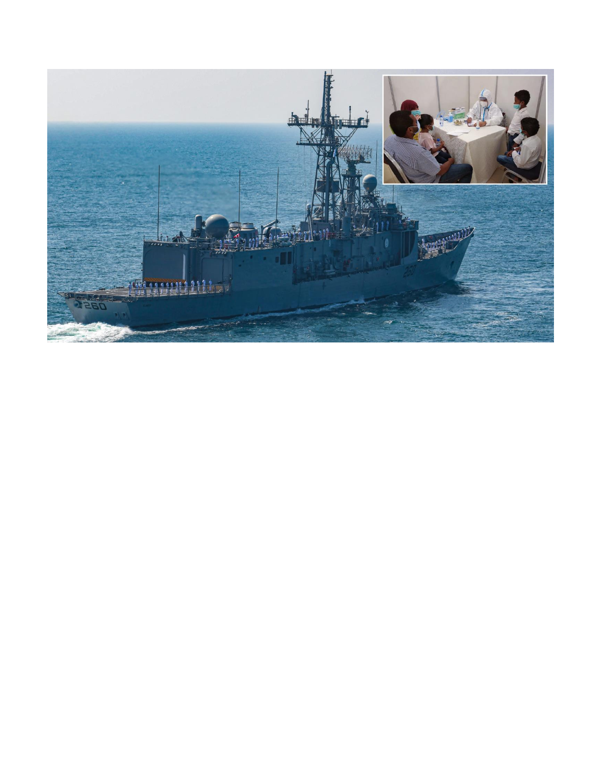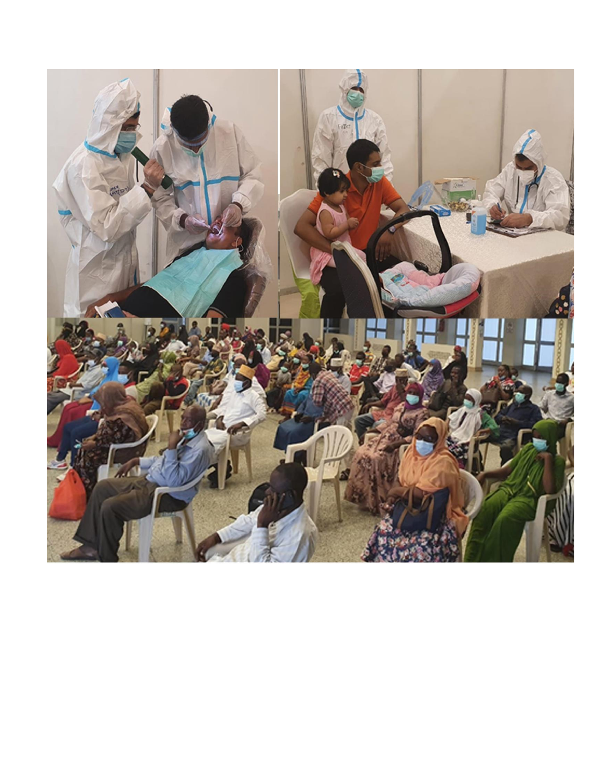